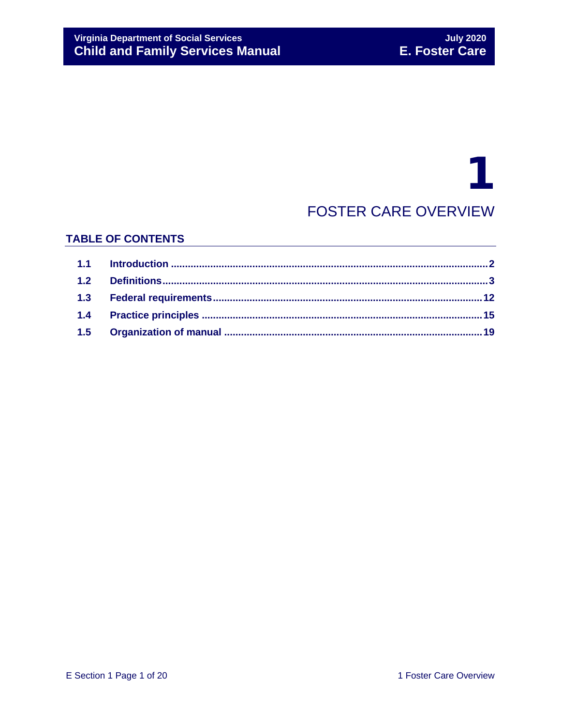# 1 FOSTER CARE OVERVIEW

## **TABLE OF CONTENTS**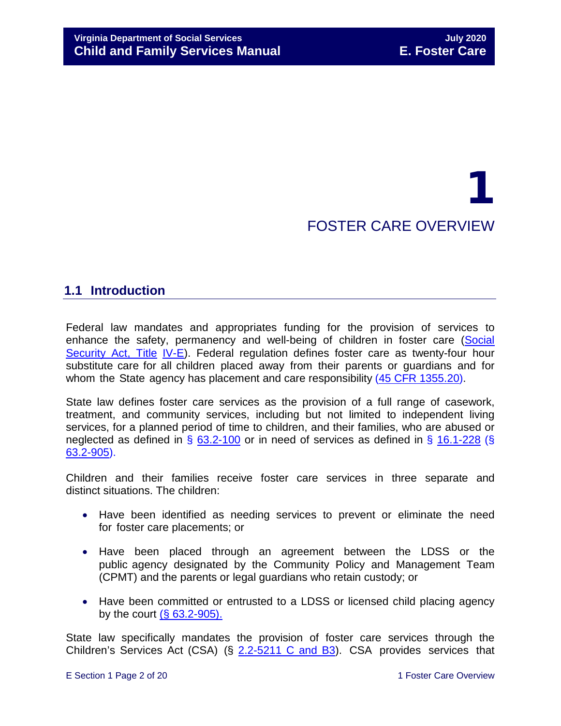# 1 FOSTER CARE OVERVIEW

# <span id="page-1-0"></span>**1.1 Introduction**

Federal law mandates and appropriates funding for the provision of services to enhance the safety, permanency and well-being of children in foster care [\(Social](http://www.ssa.gov/OP_Home/ssact/title04/0400.htm) [Security](http://www.ssa.gov/OP_Home/ssact/title04/0400.htm) Act, Title [IV-E\)](http://www.ssa.gov/OP_Home/ssact/title04/0400.htm). Federal regulation defines foster care as twenty-four hour substitute care for all children placed away from their parents or guardians and for whom the State agency has placement and care responsibility (45 [CFR 1355.20\)](http://edocket.access.gpo.gov/cfr_2002/octqtr/45cfr1355.20.htm).

State law defines foster care services as the provision of a full range of casework, treatment, and community services, including but not limited to independent living services, for a planned period of time to children, and their families, who are abused or neglected as defined in § [63.2-100](https://law.lis.virginia.gov/vacode/title63.2/chapter1/section63.2-100/) or in need of services as defined in § [16.1-228](https://law.lis.virginia.gov/vacode/16.1-228/) (§ [63.2-905\)](https://law.lis.virginia.gov/vacode/63.2-905/).

Children and their families receive foster care services in three separate and distinct situations. The children:

- Have been identified as needing services to prevent or eliminate the need for foster care placements; or
- Have been placed through an agreement between the LDSS or the public agency designated by the Community Policy and Management Team (CPMT) and the parents or legal guardians who retain custody; or
- Have been committed or entrusted to a LDSS or licensed child placing agency by the court  $(**§** 63.2-905)$  $(**§** 63.2-905)$ .

State law specifically mandates the provision of foster care services through the Children's Services Act (CSA) (§ [2.2-5211 C and B3\)](https://law.lis.virginia.gov/vacode/2.2-5211/). CSA provides services that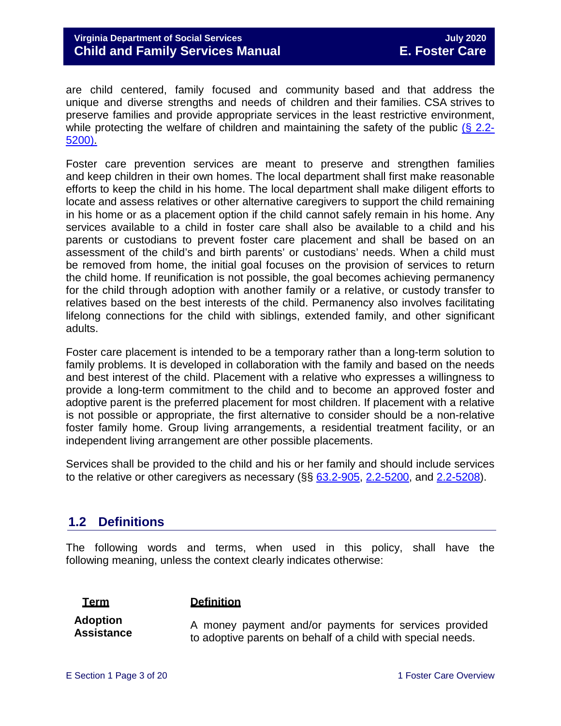are child centered, family focused and community based and that address the unique and diverse strengths and needs of children and their families. CSA strives to preserve families and provide appropriate services in the least restrictive environment, while protecting the welfare of children and maintaining the safety of the public  $(\S$  [2.2-](https://law.lis.virginia.gov/vacode/2.2-5200/) [5200\).](https://law.lis.virginia.gov/vacode/2.2-5200/)

Foster care prevention services are meant to preserve and strengthen families and keep children in their own homes. The local department shall first make reasonable efforts to keep the child in his home. The local department shall make diligent efforts to locate and assess relatives or other alternative caregivers to support the child remaining in his home or as a placement option if the child cannot safely remain in his home. Any services available to a child in foster care shall also be available to a child and his parents or custodians to prevent foster care placement and shall be based on an assessment of the child's and birth parents' or custodians' needs. When a child must be removed from home, the initial goal focuses on the provision of services to return the child home. If reunification is not possible, the goal becomes achieving permanency for the child through adoption with another family or a relative, or custody transfer to relatives based on the best interests of the child. Permanency also involves facilitating lifelong connections for the child with siblings, extended family, and other significant adults.

Foster care placement is intended to be a temporary rather than a long-term solution to family problems. It is developed in collaboration with the family and based on the needs and best interest of the child. Placement with a relative who expresses a willingness to provide a long-term commitment to the child and to become an approved foster and adoptive parent is the preferred placement for most children. If placement with a relative is not possible or appropriate, the first alternative to consider should be a non-relative foster family home. Group living arrangements, a residential treatment facility, or an independent living arrangement are other possible placements.

Services shall be provided to the child and his or her family and should include services to the relative or other caregivers as necessary  $(\S\S 63.2-905, 2.2-5200,$  $(\S\S 63.2-905, 2.2-5200,$  $(\S\S 63.2-905, 2.2-5200,$  and  $2.2-5208)$ .

# <span id="page-2-0"></span>**1.2 Definitions**

The following words and terms, when used in this policy, shall have the following meaning, unless the context clearly indicates otherwise:

#### **Term Definition**

**Adoption Assistance**

A money payment and/or payments for services provided to adoptive parents on behalf of a child with special needs.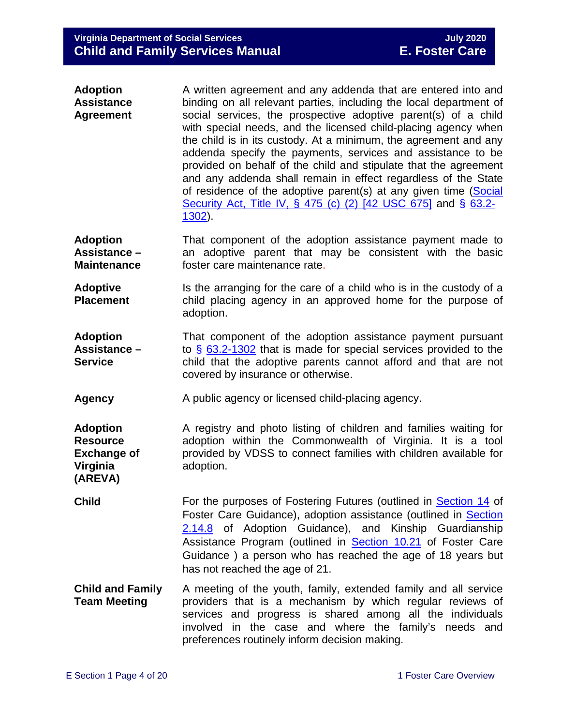| A written agreement and any addenda that are entered into and                                                                    |
|----------------------------------------------------------------------------------------------------------------------------------|
| binding on all relevant parties, including the local department of                                                               |
| social services, the prospective adoptive parent(s) of a child<br>with special needs, and the licensed child-placing agency when |
| the child is in its custody. At a minimum, the agreement and any                                                                 |
| addenda specify the payments, services and assistance to be                                                                      |
| provided on behalf of the child and stipulate that the agreement                                                                 |
| and any addenda shall remain in effect regardless of the State                                                                   |
| of residence of the adoptive parent(s) at any given time (Social                                                                 |
| Security Act, Title IV, § 475 (c) (2) [42 USC 675] and § 63.2-                                                                   |
| $1302$ ).                                                                                                                        |
|                                                                                                                                  |

- **Adoption Assistance – Maintenance** That component of the adoption assistance payment made to an adoptive parent that may be consistent with the basic foster care maintenance rate.
- **Adoptive Placement** Is the arranging for the care of a child who is in the custody of a child placing agency in an approved home for the purpose of adoption.
- **Adoption Assistance – Service** That component of the adoption assistance payment pursuant to § [63.2-1302](https://law.lis.virginia.gov/vacode/63.2-1302/) that is made for special services provided to the child that the adoptive parents cannot afford and that are not covered by insurance or otherwise.
- **Agency** A public agency or licensed child-placing agency.

**Adoption Resource Exchange of Virginia (AREVA)** A registry and photo listing of children and families waiting for adoption within the Commonwealth of Virginia. It is a tool provided by VDSS to connect families with children available for adoption.

- **Child** For the purposes of Fostering Futures (outlined in **Section 14** of Foster Care Guidance), adoption assistance (outlined in [Section](https://fusion.dss.virginia.gov/Portals/%5Bdfs%5D/Files/Adoption/Guidance/2020/section_2_adoption%20assistance.pdf)  [2.14.8](https://fusion.dss.virginia.gov/Portals/%5Bdfs%5D/Files/Adoption/Guidance/2020/section_2_adoption%20assistance.pdf) of Adoption Guidance), and Kinship Guardianship Assistance Program (outlined in **[Section 10.21](https://fusion.dss.virginia.gov/Portals/%5bdfs%5d/Files/DFS%20Manuals/Foster%20Care%20Manuals/Foster%20Care%20Manual%2007-2020/Final%20Foster%20Care%20Manual%2007-2020/section_10_achieving_permanency_goal_custody_transfer_to_relatives.pdf#page=65)** of Foster Care Guidance ) a person who has reached the age of 18 years but has not reached the age of 21.
- **Child and Family Team Meeting** A meeting of the youth, family, extended family and all service providers that is a mechanism by which regular reviews of services and progress is shared among all the individuals involved in the case and where the family's needs and preferences routinely inform decision making.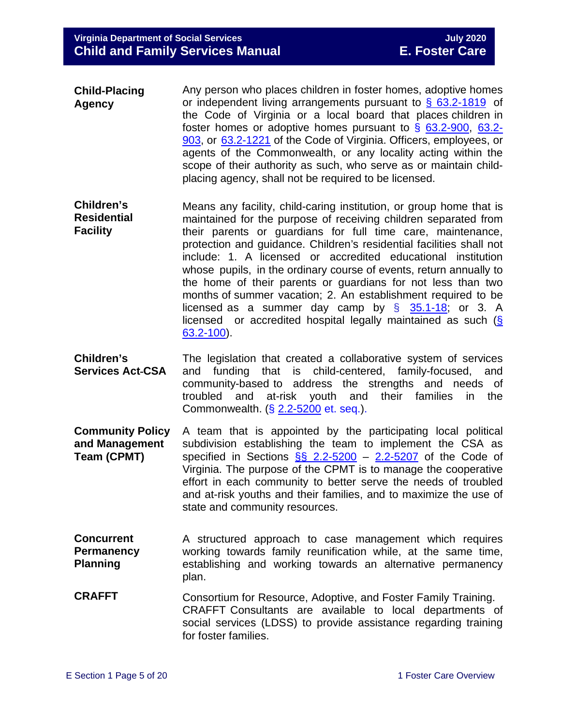- **Child-Placing Agency** Any person who places children in foster homes, adoptive homes or independent living arrangements pursuant to  $\frac{6}{9}$  [63.2-1819](https://law.lis.virginia.gov/vacode/63.2-1819/) of the Code of Virginia or a local board that places children in foster homes or adoptive homes pursuant to § [63.2-900,](http://law.lis.virginia.gov/vacode/63.2-900/) [63.2-](https://law.lis.virginia.gov/vacode/63.2-903/) [903,](https://law.lis.virginia.gov/vacode/63.2-903/) or [63.2-1221](https://law.lis.virginia.gov/vacode/63.2-1221/) of the Code of Virginia. Officers, employees, or agents of the Commonwealth, or any locality acting within the scope of their authority as such, who serve as or maintain childplacing agency, shall not be required to be licensed.
- licensed as a summer day camp by  $\S$  [35.1-18;](https://law.lis.virginia.gov/vacode/35.1-18/) or 3. A **Children's Residential Facility** Means any facility, child-caring institution, or group home that is maintained for the purpose of receiving children separated from their parents or guardians for full time care, maintenance, protection and guidance. Children's residential facilities shall not include: 1. A licensed or accredited educational institution whose pupils, in the ordinary course of events, return annually to the home of their parents or guardians for not less than two months of summer vacation; 2. An establishment required to be licensed or accredited hospital legally maintained as such [\(§](https://law.lis.virginia.gov/vacode/63.2-100/) [63.2-100\)](https://law.lis.virginia.gov/vacode/63.2-100/).
- **Children's Services Act CSA** The legislation that created a collaborative system of services and funding that is child-centered, family-focused, and community-based to address the strengths and needs of troubled and at-risk youth and their families in the Commonwealth. (§ [2.2-5200](https://law.lis.virginia.gov/vacode/2.2-5200/) et. seq.).
- **Community Policy and Management Team (CPMT)** A team that is appointed by the participating local political subdivision establishing the team to implement the CSA as specified in Sections  $\S$  2.2-5200 – [2.2-5207](https://law.lis.virginia.gov/vacode/2.2-5207/) of the Code of Virginia. The purpose of the CPMT is to manage the cooperative effort in each community to better serve the needs of troubled and at-risk youths and their families, and to maximize the use of state and community resources.
- **Concurrent Permanency Planning** A structured approach to case management which requires working towards family reunification while, at the same time, establishing and working towards an alternative permanency plan.
- **CRAFFT** Consortium for Resource, Adoptive, and Foster Family Training. CRAFFT Consultants are available to local departments of social services (LDSS) to provide assistance regarding training for foster families.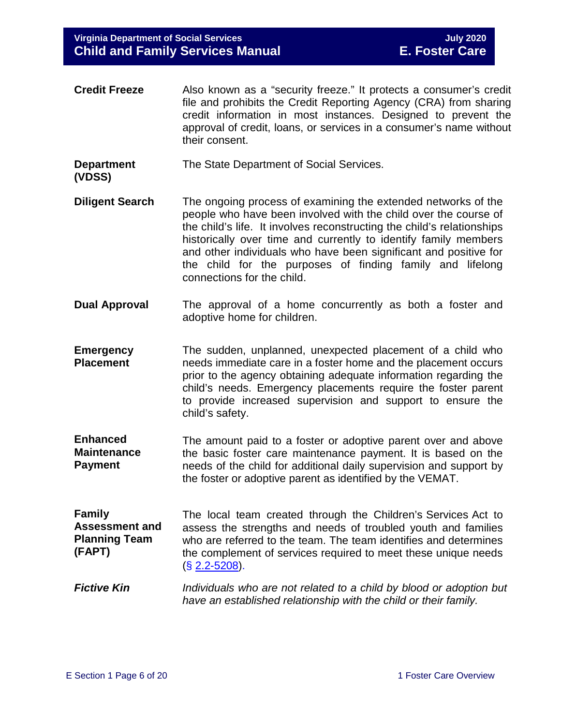- **Credit Freeze** Also known as a "security freeze." It protects a consumer's credit file and prohibits the Credit Reporting Agency (CRA) from sharing credit information in most instances. Designed to prevent the approval of credit, loans, or services in a consumer's name without their consent.
- **Department** The State Department of Social Services.
- **(VDSS)**
- **Diligent Search** The ongoing process of examining the extended networks of the people who have been involved with the child over the course of the child's life. It involves reconstructing the child's relationships historically over time and currently to identify family members and other individuals who have been significant and positive for the child for the purposes of finding family and lifelong connections for the child.
- **Dual Approval** The approval of a home concurrently as both a foster and adoptive home for children.
- **Emergency Placement** The sudden, unplanned, unexpected placement of a child who needs immediate care in a foster home and the placement occurs prior to the agency obtaining adequate information regarding the child's needs. Emergency placements require the foster parent to provide increased supervision and support to ensure the child's safety.
- **Enhanced Maintenance Payment** The amount paid to a foster or adoptive parent over and above the basic foster care maintenance payment. It is based on the needs of the child for additional daily supervision and support by the foster or adoptive parent as identified by the VEMAT.

**Family Assessment and Planning Team (FAPT)** The local team created through the Children's Services Act to assess the strengths and needs of troubled youth and families who are referred to the team. The team identifies and determines the complement of services required to meet these unique needs (§ [2.2-5208\)](https://law.lis.virginia.gov/vacode/2.2-5208/).

*Fictive Kin Individuals who are not related to a child by blood or adoption but have an established relationship with the child or their family.*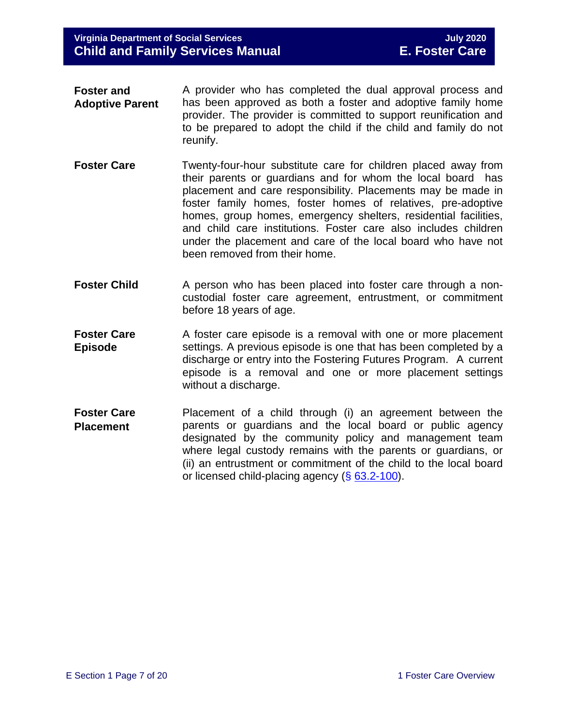- **Foster and Adoptive Parent** A provider who has completed the dual approval process and has been approved as both a foster and adoptive family home provider. The provider is committed to support reunification and to be prepared to adopt the child if the child and family do not reunify.
- **Foster Care Twenty-four-hour substitute care for children placed away from** their parents or guardians and for whom the local board has placement and care responsibility. Placements may be made in foster family homes, foster homes of relatives, pre-adoptive homes, group homes, emergency shelters, residential facilities, and child care institutions. Foster care also includes children under the placement and care of the local board who have not been removed from their home.
- **Foster Child** A person who has been placed into foster care through a noncustodial foster care agreement, entrustment, or commitment before 18 years of age.
- **Foster Care Episode** A foster care episode is a removal with one or more placement settings. A previous episode is one that has been completed by a discharge or entry into the Fostering Futures Program. A current episode is a removal and one or more placement settings without a discharge.
- **Foster Care Placement** Placement of a child through (i) an agreement between the parents or guardians and the local board or public agency designated by the community policy and management team where legal custody remains with the parents or guardians, or (ii) an entrustment or commitment of the child to the local board or licensed child-placing agency (§ [63.2-100\)](https://law.lis.virginia.gov/vacode/63.2-100/).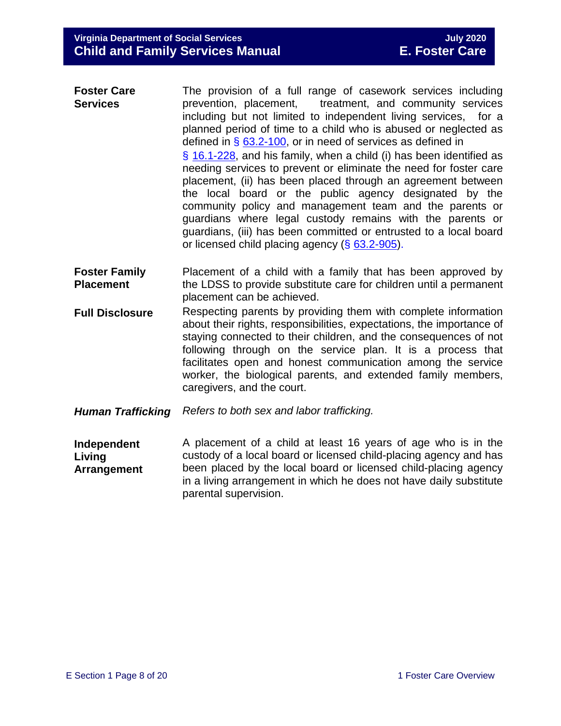| <b>Foster Care</b><br><b>Services</b> | The provision of a full range of casework services including<br>prevention, placement, treatment, and community services<br>including but not limited to independent living services, for a                                                                                                                                                                                                                                                                                                                          |
|---------------------------------------|----------------------------------------------------------------------------------------------------------------------------------------------------------------------------------------------------------------------------------------------------------------------------------------------------------------------------------------------------------------------------------------------------------------------------------------------------------------------------------------------------------------------|
|                                       | planned period of time to a child who is abused or neglected as<br>defined in $\S$ 63.2-100, or in need of services as defined in                                                                                                                                                                                                                                                                                                                                                                                    |
|                                       | $\S$ 16.1-228, and his family, when a child (i) has been identified as<br>needing services to prevent or eliminate the need for foster care<br>placement, (ii) has been placed through an agreement between<br>the local board or the public agency designated by the<br>community policy and management team and the parents or<br>guardians where legal custody remains with the parents or<br>guardians, (iii) has been committed or entrusted to a local board<br>or licensed child placing agency (§ 63.2-905). |

- **Foster Family Placement** Placement of a child with a family that has been approved by the LDSS to provide substitute care for children until a permanent placement can be achieved.
- **Full Disclosure** Respecting parents by providing them with complete information about their rights, responsibilities, expectations, the importance of staying connected to their children, and the consequences of not following through on the service plan. It is a process that facilitates open and honest communication among the service worker, the biological parents, and extended family members, caregivers, and the court.
- *Human Trafficking Refers to both sex and labor trafficking.*

**Independent Living Arrangement** A placement of a child at least 16 years of age who is in the custody of a local board or licensed child-placing agency and has been placed by the local board or licensed child-placing agency in a living arrangement in which he does not have daily substitute parental supervision.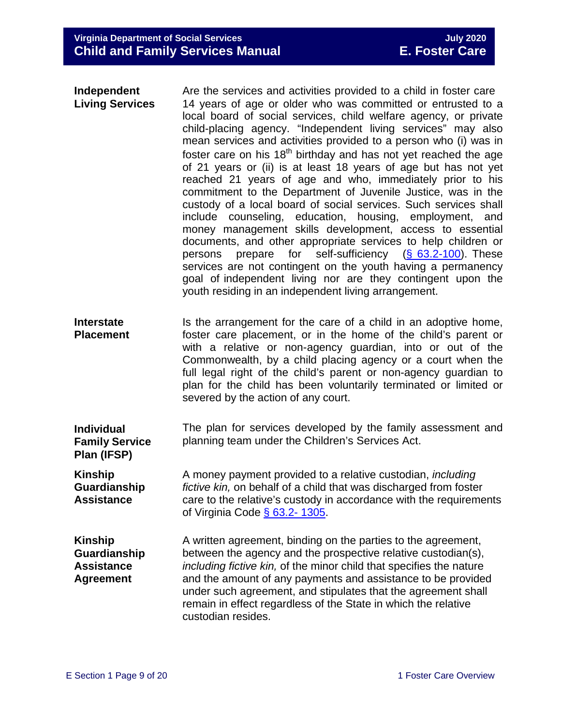| Independent<br><b>Living Services</b>                                   | Are the services and activities provided to a child in foster care<br>14 years of age or older who was committed or entrusted to a<br>local board of social services, child welfare agency, or private<br>child-placing agency. "Independent living services" may also<br>mean services and activities provided to a person who (i) was in<br>foster care on his 18 <sup>th</sup> birthday and has not yet reached the age<br>of 21 years or (ii) is at least 18 years of age but has not yet<br>reached 21 years of age and who, immediately prior to his<br>commitment to the Department of Juvenile Justice, was in the<br>custody of a local board of social services. Such services shall<br>include counseling, education, housing, employment, and<br>money management skills development, access to essential<br>documents, and other appropriate services to help children or<br>prepare for self-sufficiency $(S \t 63.2-100)$ . These<br>persons<br>services are not contingent on the youth having a permanency<br>goal of independent living nor are they contingent upon the<br>youth residing in an independent living arrangement. |
|-------------------------------------------------------------------------|----------------------------------------------------------------------------------------------------------------------------------------------------------------------------------------------------------------------------------------------------------------------------------------------------------------------------------------------------------------------------------------------------------------------------------------------------------------------------------------------------------------------------------------------------------------------------------------------------------------------------------------------------------------------------------------------------------------------------------------------------------------------------------------------------------------------------------------------------------------------------------------------------------------------------------------------------------------------------------------------------------------------------------------------------------------------------------------------------------------------------------------------------|
| <b>Interstate</b><br><b>Placement</b>                                   | Is the arrangement for the care of a child in an adoptive home,<br>foster care placement, or in the home of the child's parent or<br>with a relative or non-agency guardian, into or out of the<br>Commonwealth, by a child placing agency or a court when the<br>full legal right of the child's parent or non-agency guardian to<br>plan for the child has been voluntarily terminated or limited or<br>severed by the action of any court.                                                                                                                                                                                                                                                                                                                                                                                                                                                                                                                                                                                                                                                                                                      |
| <b>Individual</b><br><b>Family Service</b><br>Plan (IFSP)               | The plan for services developed by the family assessment and<br>planning team under the Children's Services Act.                                                                                                                                                                                                                                                                                                                                                                                                                                                                                                                                                                                                                                                                                                                                                                                                                                                                                                                                                                                                                                   |
| <b>Kinship</b><br>Guardianship<br><b>Assistance</b>                     | A money payment provided to a relative custodian, <i>including</i><br>fictive kin, on behalf of a child that was discharged from foster<br>care to the relative's custody in accordance with the requirements<br>of Virginia Code $\S$ 63.2-1305.                                                                                                                                                                                                                                                                                                                                                                                                                                                                                                                                                                                                                                                                                                                                                                                                                                                                                                  |
| <b>Kinship</b><br>Guardianship<br><b>Assistance</b><br><b>Agreement</b> | A written agreement, binding on the parties to the agreement,<br>between the agency and the prospective relative custodian(s),<br>including fictive kin, of the minor child that specifies the nature<br>and the amount of any payments and assistance to be provided<br>under such agreement, and stipulates that the agreement shall                                                                                                                                                                                                                                                                                                                                                                                                                                                                                                                                                                                                                                                                                                                                                                                                             |

remain in effect regardless of the State in which the relative

custodian resides.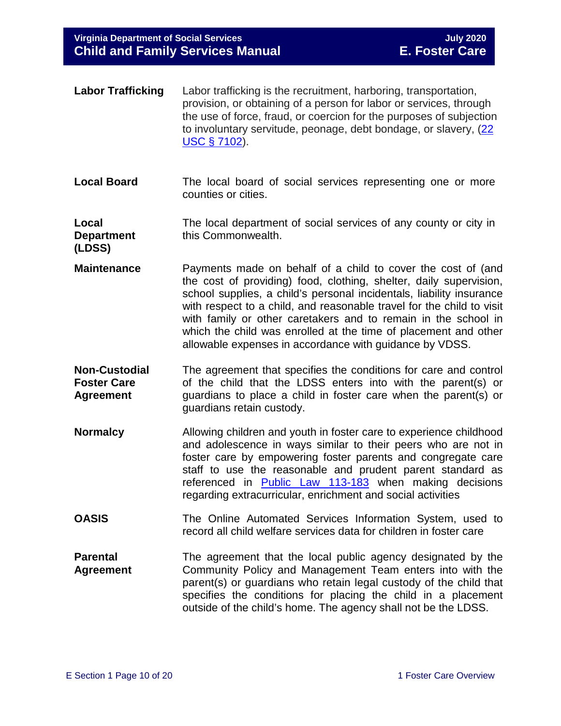| <b>Labor Trafficking</b>                                       | Labor trafficking is the recruitment, harboring, transportation,<br>provision, or obtaining of a person for labor or services, through<br>the use of force, fraud, or coercion for the purposes of subjection<br>to involuntary servitude, peonage, debt bondage, or slavery, (22<br><u>USC § 7102</u> ).                                                                                                                                                                           |
|----------------------------------------------------------------|-------------------------------------------------------------------------------------------------------------------------------------------------------------------------------------------------------------------------------------------------------------------------------------------------------------------------------------------------------------------------------------------------------------------------------------------------------------------------------------|
| <b>Local Board</b>                                             | The local board of social services representing one or more<br>counties or cities.                                                                                                                                                                                                                                                                                                                                                                                                  |
| Local<br><b>Department</b><br>(LDSS)                           | The local department of social services of any county or city in<br>this Commonwealth.                                                                                                                                                                                                                                                                                                                                                                                              |
| <b>Maintenance</b>                                             | Payments made on behalf of a child to cover the cost of (and<br>the cost of providing) food, clothing, shelter, daily supervision,<br>school supplies, a child's personal incidentals, liability insurance<br>with respect to a child, and reasonable travel for the child to visit<br>with family or other caretakers and to remain in the school in<br>which the child was enrolled at the time of placement and other<br>allowable expenses in accordance with guidance by VDSS. |
| <b>Non-Custodial</b><br><b>Foster Care</b><br><b>Agreement</b> | The agreement that specifies the conditions for care and control<br>of the child that the LDSS enters into with the parent(s) or<br>guardians to place a child in foster care when the parent(s) or<br>guardians retain custody.                                                                                                                                                                                                                                                    |
| <b>Normalcy</b>                                                | Allowing children and youth in foster care to experience childhood<br>and adolescence in ways similar to their peers who are not in<br>foster care by empowering foster parents and congregate care<br>staff to use the reasonable and prudent parent standard as<br>referenced in Public Law 113-183 when making decisions<br>regarding extracurricular, enrichment and social activities                                                                                          |
| <b>OASIS</b>                                                   | The Online Automated Services Information System, used to<br>record all child welfare services data for children in foster care                                                                                                                                                                                                                                                                                                                                                     |
| <b>Parental</b><br><b>Agreement</b>                            | The agreement that the local public agency designated by the<br>Community Policy and Management Team enters into with the<br>parent(s) or guardians who retain legal custody of the child that<br>specifies the conditions for placing the child in a placement<br>outside of the child's home. The agency shall not be the LDSS.                                                                                                                                                   |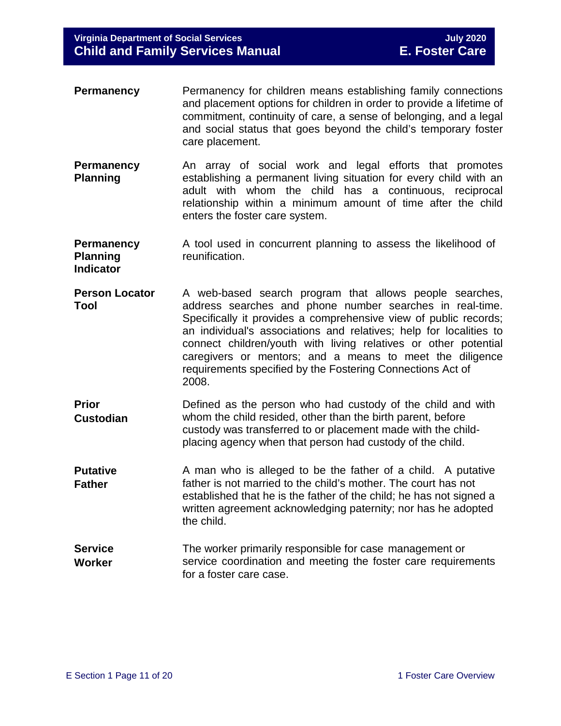- **Permanency** Permanency for children means establishing family connections and placement options for children in order to provide a lifetime of commitment, continuity of care, a sense of belonging, and a legal and social status that goes beyond the child's temporary foster care placement.
- **Permanency Planning** An array of social work and legal efforts that promotes establishing a permanent living situation for every child with an adult with whom the child has a continuous, reciprocal relationship within a minimum amount of time after the child enters the foster care system.
- **Permanency Planning Indicator** A tool used in concurrent planning to assess the likelihood of reunification.
- **Person Locator Tool** A web-based search program that allows people searches, address searches and phone number searches in real-time. Specifically it provides a comprehensive view of public records; an individual's associations and relatives; help for localities to connect children/youth with living relatives or other potential caregivers or mentors; and a means to meet the diligence requirements specified by the Fostering Connections Act of 2008.
- **Prior Custodian** Defined as the person who had custody of the child and with whom the child resided, other than the birth parent, before custody was transferred to or placement made with the childplacing agency when that person had custody of the child.
- **Putative Father** A man who is alleged to be the father of a child. A putative father is not married to the child's mother. The court has not established that he is the father of the child; he has not signed a written agreement acknowledging paternity; nor has he adopted the child.
- **Service Worker** The worker primarily responsible for case management or service coordination and meeting the foster care requirements for a foster care case.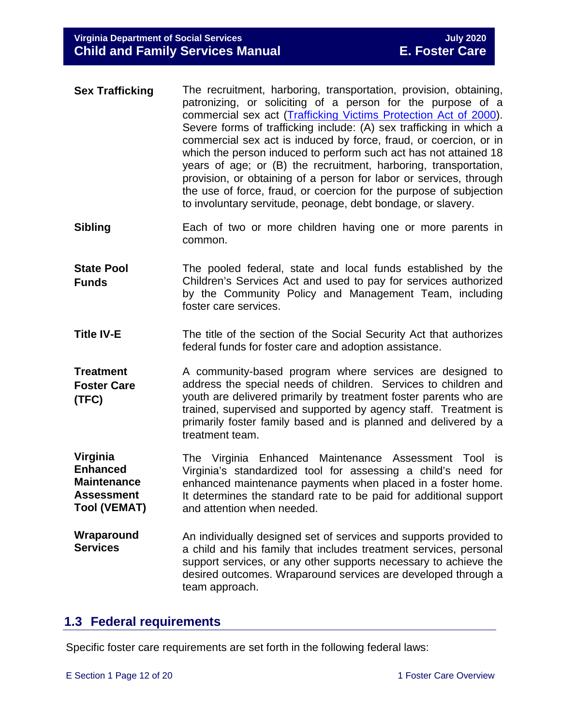- **Sex Trafficking** The recruitment, harboring, transportation, provision, obtaining, patronizing, or soliciting of a person for the purpose of a commercial sex act [\(Trafficking Victims Protection Act of 2000\)](https://www.state.gov/j/tip/laws/61124.htm). Severe forms of trafficking include: (A) sex trafficking in which a commercial sex act is induced by force, fraud, or coercion, or in which the person induced to perform such act has not attained 18 years of age; or (B) the recruitment, harboring, transportation, provision, or obtaining of a person for labor or services, through the use of force, fraud, or coercion for the purpose of subjection to involuntary servitude, peonage, debt bondage, or slavery.
- **Sibling** Each of two or more children having one or more parents in common.
- **State Pool Funds** The pooled federal, state and local funds established by the Children's Services Act and used to pay for services authorized by the Community Policy and Management Team, including foster care services.
- **Title IV-E** The title of the section of the Social Security Act that authorizes federal funds for foster care and adoption assistance.

**Treatment Foster Care (TFC)** A community-based program where services are designed to address the special needs of children. Services to children and youth are delivered primarily by treatment foster parents who are trained, supervised and supported by agency staff. Treatment is primarily foster family based and is planned and delivered by a treatment team.

**Virginia Enhanced Maintenance Assessment Tool (VEMAT)** The Virginia Enhanced Maintenance Assessment Tool is Virginia's standardized tool for assessing a child's need for enhanced maintenance payments when placed in a foster home. It determines the standard rate to be paid for additional support and attention when needed.

**Wraparound Services** An individually designed set of services and supports provided to a child and his family that includes treatment services, personal support services, or any other supports necessary to achieve the desired outcomes. Wraparound services are developed through a team approach.

# <span id="page-11-0"></span>**1.3 Federal requirements**

Specific foster care requirements are set forth in the following federal laws: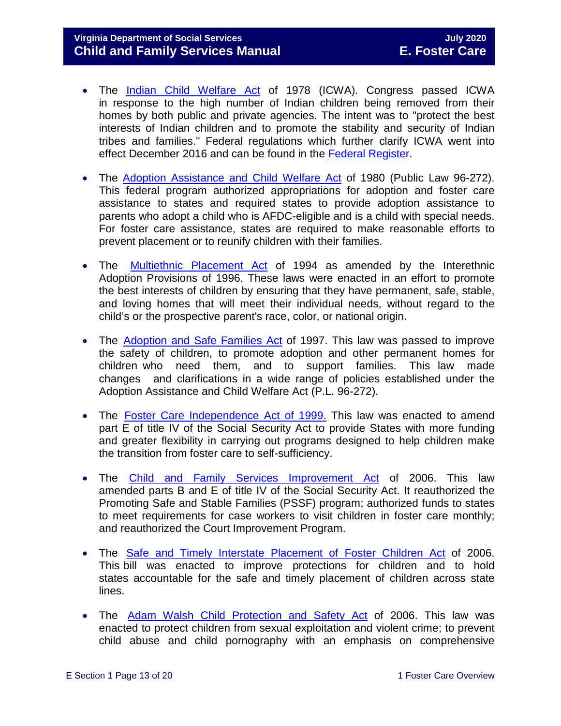## **Virginia Department of Social Services July 2020 Child and Family Services Manual**

- The [Indian Child Welfare Act](http://www.nicwa.org/Indian_Child_Welfare_Act/) of 1978 (ICWA). Congress passed ICWA in response to the high number of Indian children being removed from their homes by both public and private agencies. The intent was to "protect the best interests of Indian children and to promote the stability and security of Indian tribes and families." Federal regulations which further clarify ICWA went into effect December 2016 and can be found in the [Federal Register.](https://www.gpo.gov/fdsys/pkg/FR-2016-06-14/pdf/2016-13686.pdf)
- The [Adoption Assistance and Child Welfare Act](https://www.ssa.gov/OP_Home/comp2/F096-272.html) of 1980 (Public Law 96-272). This federal program authorized appropriations for adoption and foster care assistance to states and required states to provide adoption assistance to parents who adopt a child who is AFDC-eligible and is a child with special needs. For foster care assistance, states are required to make reasonable efforts to prevent placement or to reunify children with their families.
- The [Multiethnic](http://laws.adoption.com/statutes/multiethnic-placement-act-mepa-of-1994.html) Placement Act of 1994 as amended by the Interethnic Adoption Provisions of 1996. These laws were enacted in an effort to promote the best interests of children by ensuring that they have permanent, safe, stable, and loving homes that will meet their individual needs, without regard to the child's or the prospective parent's race, color, or national origin.
- The [Adoption](https://www.congress.gov/105/plaws/publ89/PLAW-105publ89.pdf) and Safe Families Act of 1997. This law was passed to improve the safety of children, to promote adoption and other permanent homes for children who need them, and to support families. This law made changes and clarifications in a wide range of policies established under the Adoption Assistance and Child Welfare Act (P.L. 96-272).
- The Foster Care [Independence](https://www.ssa.gov/legislation/legis_bulletin_112499.html) Act of 1999. This law was enacted to amend part E of title IV of the Social Security Act to provide States with more funding and greater flexibility in carrying out programs designed to help children make the transition from foster care to self-sufficiency.
- The Child and Family Services [Improvement](http://www.gpo.gov/fdsys/pkg/PLAW-109publ288/pdf/PLAW-109publ288.pdf) Act of 2006. This law amended parts B and E of title IV of the Social Security Act. It reauthorized the Promoting Safe and Stable Families (PSSF) program; authorized funds to states to meet requirements for case workers to visit children in foster care monthly; and reauthorized the Court Improvement Program.
- The Safe and Timely Interstate [Placement](https://www.gpo.gov/fdsys/pkg/PLAW-109publ239/content-detail.html) of Foster Children Act of 2006. This bill was enacted to improve protections for children and to hold states accountable for the safe and timely placement of children across state lines.
- The Adam Walsh Child [Protection](http://www.gpo.gov/fdsys/pkg/PLAW-109publ248/pdf/PLAW-109publ248.pdf) and Safety Act of 2006. This law was enacted to protect children from sexual exploitation and violent crime; to prevent child abuse and child pornography with an emphasis on comprehensive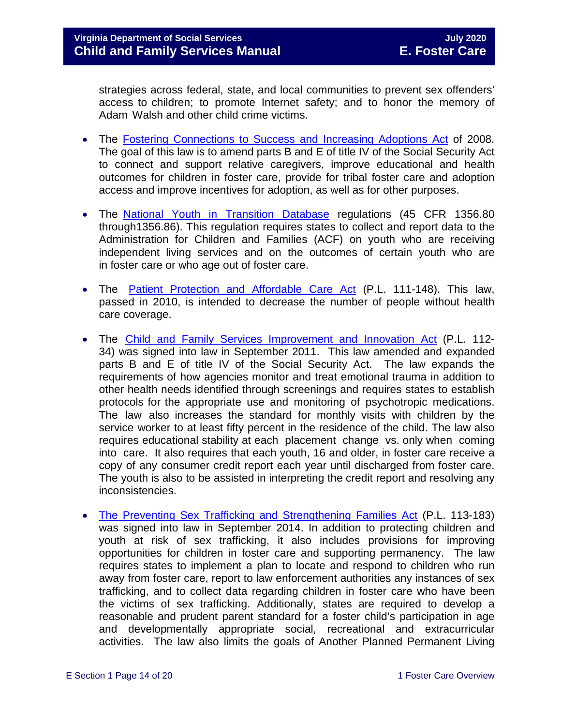strategies across federal, state, and local communities to prevent sex offenders' access to children; to promote Internet safety; and to honor the memory of Adam Walsh and other child crime victims.

- The [Fostering Connections to Success and Increasing Adoptions Act](https://www.govinfo.gov/content/pkg/PLAW-110publ351/pdf/PLAW-110publ351.pdf) of 2008. The goal of this law is to amend parts B and E of title IV of the Social Security Act to connect and support relative caregivers, improve educational and health outcomes for children in foster care, provide for tribal foster care and adoption access and improve incentives for adoption, as well as for other purposes.
- The National Youth in [Transition](http://edocket.access.gpo.gov/2008/pdf/E8-3050.pdf) Database regulations (45 CFR 1356.80 through1356.86). This regulation requires states to collect and report data to the Administration for Children and Families (ACF) on youth who are receiving independent living services and on the outcomes of certain youth who are in foster care or who age out of foster care.
- The Patient Protection and [Affordable](https://www.gpo.gov/fdsys/pkg/PLAW-111publ148/content-detail.html) Care Act (P.L. 111-148). This law, passed in 2010, is intended to decrease the number of people without health care coverage.
- The Child and Family Services [Improvement](https://www.gpo.gov/fdsys/pkg/PLAW-112publ34/content-detail.html) and Innovation Act (P.L. 112- 34) was signed into law in September 2011. This law amended and expanded parts B and E of title IV of the Social Security Act. The law expands the requirements of how agencies monitor and treat emotional trauma in addition to other health needs identified through screenings and requires states to establish protocols for the appropriate use and monitoring of psychotropic medications. The law also increases the standard for monthly visits with children by the service worker to at least fifty percent in the residence of the child. The law also requires educational stability at each placement change vs. only when coming into care. It also requires that each youth, 16 and older, in foster care receive a copy of any consumer credit report each year until discharged from foster care. The youth is also to be assisted in interpreting the credit report and resolving any inconsistencies.
- [The Preventing Sex Trafficking and Strengthening Families Act](https://www.congress.gov/113/plaws/publ183/PLAW-113publ183.pdf) (P.L. 113-183) was signed into law in September 2014. In addition to protecting children and youth at risk of sex trafficking, it also includes provisions for improving opportunities for children in foster care and supporting permanency. The law requires states to implement a plan to locate and respond to children who run away from foster care, report to law enforcement authorities any instances of sex trafficking, and to collect data regarding children in foster care who have been the victims of sex trafficking. Additionally, states are required to develop a reasonable and prudent parent standard for a foster child's participation in age and developmentally appropriate social, recreational and extracurricular activities. The law also limits the goals of Another Planned Permanent Living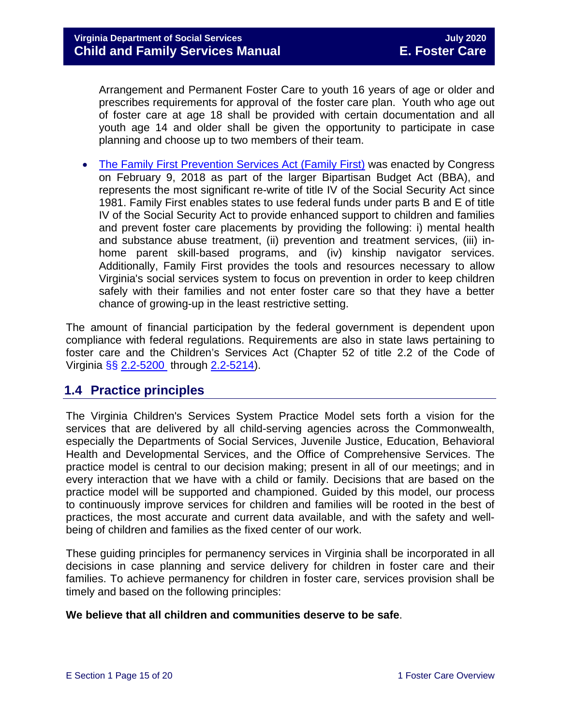Arrangement and Permanent Foster Care to youth 16 years of age or older and prescribes requirements for approval of the foster care plan. Youth who age out of foster care at age 18 shall be provided with certain documentation and all youth age 14 and older shall be given the opportunity to participate in case planning and choose up to two members of their team.

• [The Family First Prevention Services Act \(Family First\)](https://www.congress.gov/115/plaws/publ123/PLAW-115publ123.pdf) was enacted by Congress on February 9, 2018 as part of the larger Bipartisan Budget Act (BBA), and represents the most significant re-write of title IV of the Social Security Act since 1981. Family First enables states to use federal funds under parts B and E of title IV of the Social Security Act to provide enhanced support to children and families and prevent foster care placements by providing the following: i) mental health and substance abuse treatment, (ii) prevention and treatment services, (iii) inhome parent skill-based programs, and (iv) kinship navigator services. Additionally, Family First provides the tools and resources necessary to allow Virginia's social services system to focus on prevention in order to keep children safely with their families and not enter foster care so that they have a better chance of growing-up in the least restrictive setting.

The amount of financial participation by the federal government is dependent upon compliance with federal regulations. Requirements are also in state laws pertaining to foster care and the Children's Services Act (Chapter 52 of title 2.2 of the Code of Virginia §§ [2.2-5200](https://law.lis.virginia.gov/vacode/2.2-5200/) through [2.2-5214\)](https://law.lis.virginia.gov/vacode/2.2-5214/).

# <span id="page-14-0"></span>**1.4 Practice principles**

The Virginia Children's Services System Practice Model sets forth a vision for the services that are delivered by all child-serving agencies across the Commonwealth, especially the Departments of Social Services, Juvenile Justice, Education, Behavioral Health and Developmental Services, and the Office of Comprehensive Services. The practice model is central to our decision making; present in all of our meetings; and in every interaction that we have with a child or family. Decisions that are based on the practice model will be supported and championed. Guided by this model, our process to continuously improve services for children and families will be rooted in the best of practices, the most accurate and current data available, and with the safety and wellbeing of children and families as the fixed center of our work.

These guiding principles for permanency services in Virginia shall be incorporated in all decisions in case planning and service delivery for children in foster care and their families. To achieve permanency for children in foster care, services provision shall be timely and based on the following principles:

### **We believe that all children and communities deserve to be safe**.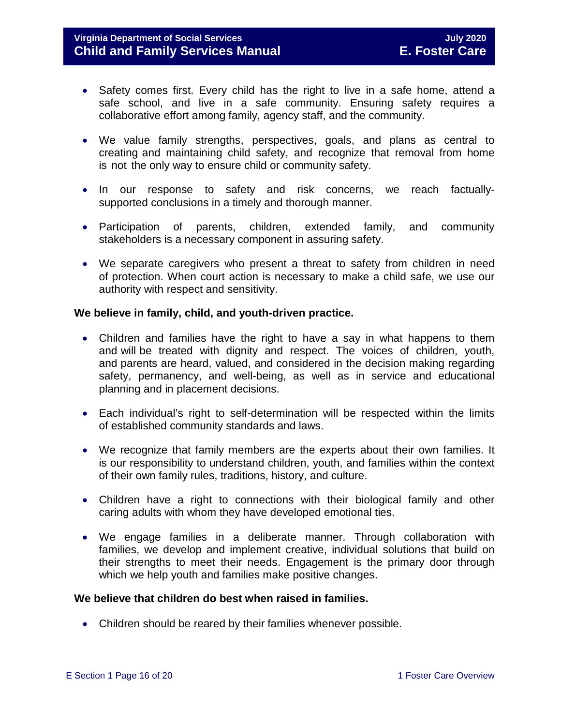## **Virginia Department of Social Services July 2020 Child and Family Services Manual**

- Safety comes first. Every child has the right to live in a safe home, attend a safe school, and live in a safe community. Ensuring safety requires a collaborative effort among family, agency staff, and the community.
- We value family strengths, perspectives, goals, and plans as central to creating and maintaining child safety, and recognize that removal from home is not the only way to ensure child or community safety.
- In our response to safety and risk concerns, we reach factuallysupported conclusions in a timely and thorough manner.
- Participation of parents, children, extended family, and community stakeholders is a necessary component in assuring safety.
- We separate caregivers who present a threat to safety from children in need of protection. When court action is necessary to make a child safe, we use our authority with respect and sensitivity.

### **We believe in family, child, and youth-driven practice.**

- Children and families have the right to have a say in what happens to them and will be treated with dignity and respect. The voices of children, youth, and parents are heard, valued, and considered in the decision making regarding safety, permanency, and well-being, as well as in service and educational planning and in placement decisions.
- Each individual's right to self-determination will be respected within the limits of established community standards and laws.
- We recognize that family members are the experts about their own families. It is our responsibility to understand children, youth, and families within the context of their own family rules, traditions, history, and culture.
- Children have a right to connections with their biological family and other caring adults with whom they have developed emotional ties.
- We engage families in a deliberate manner. Through collaboration with families, we develop and implement creative, individual solutions that build on their strengths to meet their needs. Engagement is the primary door through which we help youth and families make positive changes.

#### **We believe that children do best when raised in families.**

• Children should be reared by their families whenever possible.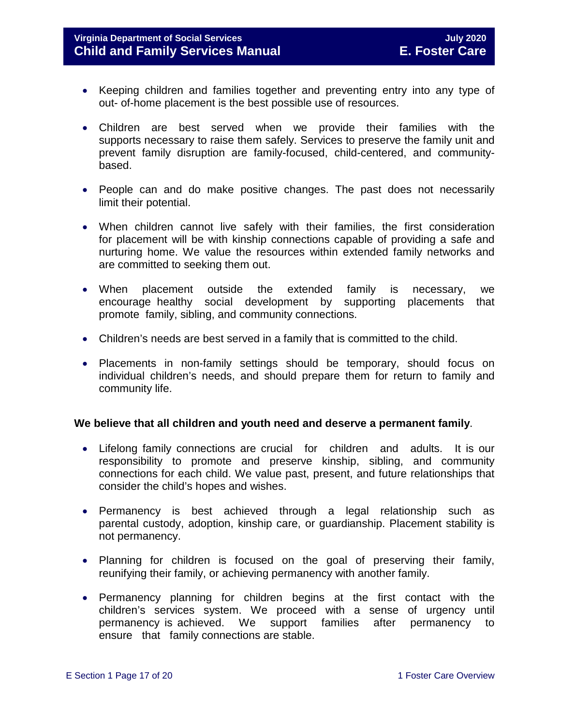- Keeping children and families together and preventing entry into any type of out- of-home placement is the best possible use of resources.
- Children are best served when we provide their families with the supports necessary to raise them safely. Services to preserve the family unit and prevent family disruption are family-focused, child-centered, and communitybased.
- People can and do make positive changes. The past does not necessarily limit their potential.
- When children cannot live safely with their families, the first consideration for placement will be with kinship connections capable of providing a safe and nurturing home. We value the resources within extended family networks and are committed to seeking them out.
- When placement outside the extended family is necessary, we encourage healthy social development by supporting placements that promote family, sibling, and community connections.
- Children's needs are best served in a family that is committed to the child.
- Placements in non-family settings should be temporary, should focus on individual children's needs, and should prepare them for return to family and community life.

#### **We believe that all children and youth need and deserve a permanent family**.

- Lifelong family connections are crucial for children and adults. It is our responsibility to promote and preserve kinship, sibling, and community connections for each child. We value past, present, and future relationships that consider the child's hopes and wishes.
- Permanency is best achieved through a legal relationship such as parental custody, adoption, kinship care, or guardianship. Placement stability is not permanency.
- Planning for children is focused on the goal of preserving their family, reunifying their family, or achieving permanency with another family.
- Permanency planning for children begins at the first contact with the children's services system. We proceed with a sense of urgency until permanency is achieved. We support families after permanency to ensure that family connections are stable.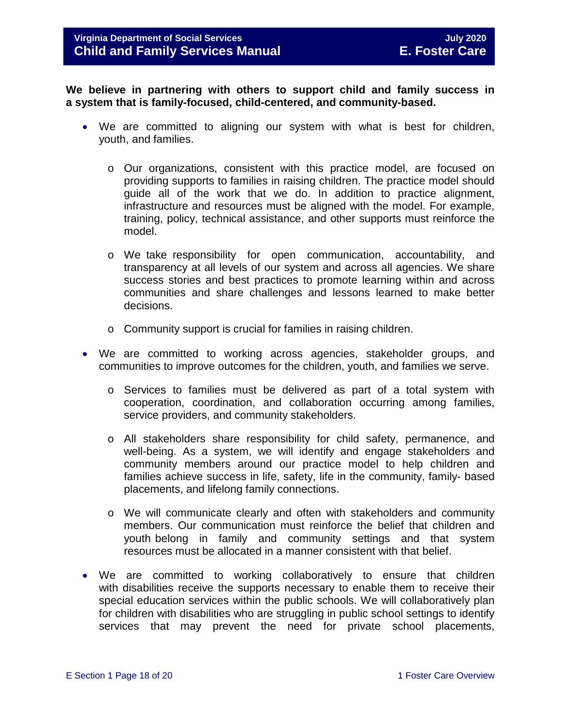**We believe in partnering with others to support child and family success in a system that is family-focused, child-centered, and community-based.**

- We are committed to aligning our system with what is best for children, youth, and families.
	- o Our organizations, consistent with this practice model, are focused on providing supports to families in raising children. The practice model should guide all of the work that we do. In addition to practice alignment, infrastructure and resources must be aligned with the model. For example, training, policy, technical assistance, and other supports must reinforce the model.
	- o We take responsibility for open communication, accountability, and transparency at all levels of our system and across all agencies. We share success stories and best practices to promote learning within and across communities and share challenges and lessons learned to make better decisions.
	- o Community support is crucial for families in raising children.
- We are committed to working across agencies, stakeholder groups, and communities to improve outcomes for the children, youth, and families we serve.
	- o Services to families must be delivered as part of a total system with cooperation, coordination, and collaboration occurring among families, service providers, and community stakeholders.
	- o All stakeholders share responsibility for child safety, permanence, and well-being. As a system, we will identify and engage stakeholders and community members around our practice model to help children and families achieve success in life, safety, life in the community, family- based placements, and lifelong family connections.
	- o We will communicate clearly and often with stakeholders and community members. Our communication must reinforce the belief that children and youth belong in family and community settings and that system resources must be allocated in a manner consistent with that belief.
- We are committed to working collaboratively to ensure that children with disabilities receive the supports necessary to enable them to receive their special education services within the public schools. We will collaboratively plan for children with disabilities who are struggling in public school settings to identify services that may prevent the need for private school placements,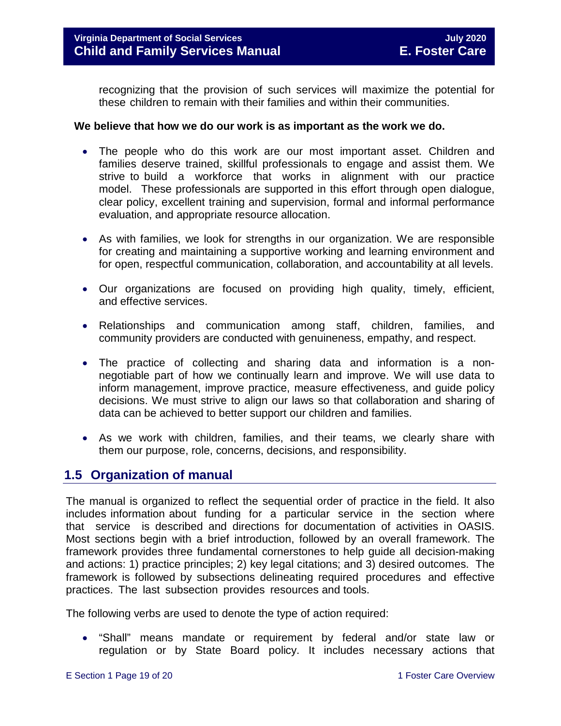recognizing that the provision of such services will maximize the potential for these children to remain with their families and within their communities.

#### **We believe that how we do our work is as important as the work we do.**

- The people who do this work are our most important asset. Children and families deserve trained, skillful professionals to engage and assist them. We strive to build a workforce that works in alignment with our practice model. These professionals are supported in this effort through open dialogue, clear policy, excellent training and supervision, formal and informal performance evaluation, and appropriate resource allocation.
- As with families, we look for strengths in our organization. We are responsible for creating and maintaining a supportive working and learning environment and for open, respectful communication, collaboration, and accountability at all levels.
- Our organizations are focused on providing high quality, timely, efficient, and effective services.
- Relationships and communication among staff, children, families, and community providers are conducted with genuineness, empathy, and respect.
- The practice of collecting and sharing data and information is a nonnegotiable part of how we continually learn and improve. We will use data to inform management, improve practice, measure effectiveness, and guide policy decisions. We must strive to align our laws so that collaboration and sharing of data can be achieved to better support our children and families.
- As we work with children, families, and their teams, we clearly share with them our purpose, role, concerns, decisions, and responsibility.

## <span id="page-18-0"></span>**1.5 Organization of manual**

The manual is organized to reflect the sequential order of practice in the field. It also includes information about funding for a particular service in the section where that service is described and directions for documentation of activities in OASIS. Most sections begin with a brief introduction, followed by an overall framework. The framework provides three fundamental cornerstones to help guide all decision-making and actions: 1) practice principles; 2) key legal citations; and 3) desired outcomes. The framework is followed by subsections delineating required procedures and effective practices. The last subsection provides resources and tools.

The following verbs are used to denote the type of action required:

• "Shall" means mandate or requirement by federal and/or state law or regulation or by State Board policy. It includes necessary actions that